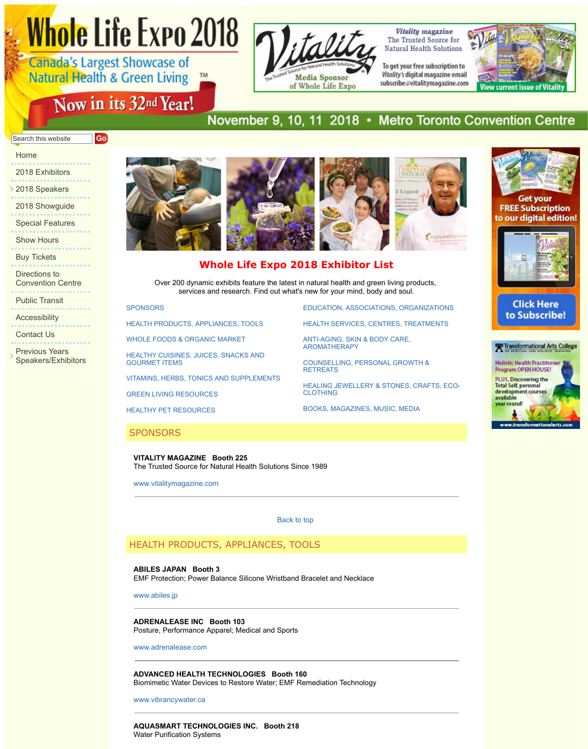<span id="page-0-2"></span>Directions to Convention Centre

Public Transit

Accessibility . . . . . . . . . . . . . .

Contact Us

Previous Years Speakers/Exhibitors

. . . . . . . . . . . . . . . . .

# **Whole Life Expo 2018 Exhibitor List**

**EDUCATION, ASSOCI** 

**HEALTH SERVICES, C** 

ANTI-AGING, SKIN & B AROMATHERAPY

COUNSELLING, PERS

**HEALING JEWELLERY** 

BOOKS, MAGAZINES,

**RETREATS** 

CLOTHING

Over 200 dynamic exhibits feature the latest in natural health and g services and research. Find out what's new for your mind, bot

**SPONSORS** 

HEALTH PRODUCTS, APPLIANCES, TOOLS

WHOLE FOODS & ORGANIC MARKET

HEALTHY CUISINES, JUICES, SNACKS AND GOURMET ITEMS

VITAMINS, HERBS, TONICS AND SUPPLEMENTS

GREEN LIVING RESOURCES

HEALTHY PET RESOURCES

## **SPONSORS**

**VITALITY MAGAZINE Booth 225** The Trusted Source for Natural Health Solutions Since 1989

www.vitalitymagazine.com

Back to top

## HEALTH PRODUCTS, APPLIANCES, TOOLS

**ABILES JAPAN Booth 3**

[EMF Prot](#page-0-0)ection; Power Balance Silicone Wristband [Bracelet and Necklace](#page-7-0)

[www.abiles.jp](#page-0-1)

# **ADRENALEASE INC Booth 103**

[Posture, Performance Apparel; Medical a](#page-3-0)nd Sports

[www.adrenalease.com](#page-5-0)

**[ADVANCED HEALTH TE](http://www.wholelifeexpo.ca/exhibitors.php#16)CHNOLOGIES Booth 160** Biomimetic Water Devices to Restore Water; EMF R[emediation Technology](#page-12-0)

<span id="page-0-0"></span>www.vibrancywater.ca

<span id="page-0-1"></span>**AQUASMART TECHNOLOGIES INC. Booth 218** Water Purification Systems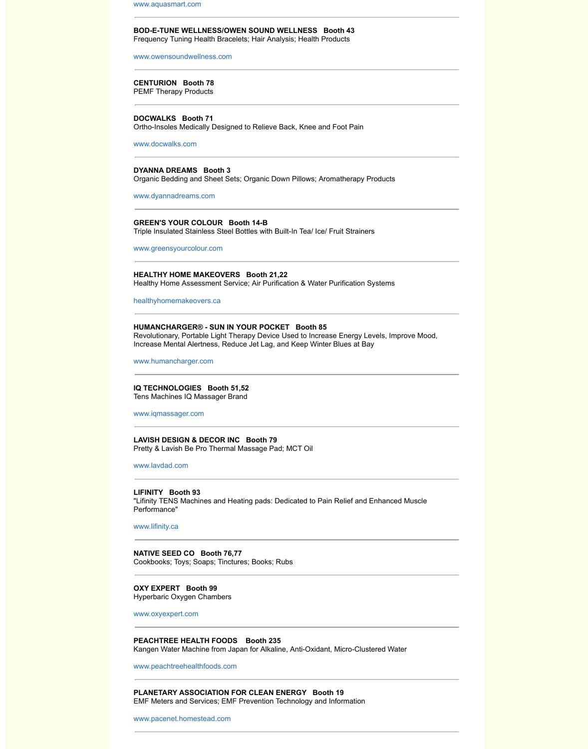### **[HEALTHY HOME MA](http://www.aquasmart.com/)KEOVERS Booth 21,22**

Healthy Home Assessment Service; Air Purification & Water Purification S

healthyhomemakeovers.ca

#### **[HUMANCHARGER® - SUN IN](http://www.owensoundwellness.com/) YOUR POCKET Booth 85**

Revolutionary, Portable Light Therapy Device Used to Increase Energy Le Increase Mental Alertness, Reduce Jet Lag, and Keep Winter Blues at Bay

www.humancharger.com

**IQ TECHNOLOGIES Booth 51,52** Tens Machines IQ Massager Brand

[www.iqmassager.co](http://www.docwalks.com/)m

**LAVISH DESIGN & DECOR INC Booth 79** Pretty & Lavish Be Pro Thermal Massage Pad; MCT Oil

[www.lavdad.com](http://www.dyannadreams.com/)

**LIFINITY Booth 93**

"Lifinity TENS Machines and Heating pads: Dedicated to Pain Relief and E [Performance"](http://www.greensyourcolour.com/)

www.lifinity.ca

**NATIVE SEED CO Booth 76,77** [Cookbooks; Toys; Soaps; T](http://healthyhomemakeovers.ca/)inctures; Books; Rubs

**OXY EXPERT Booth 99** Hyperbaric Oxygen Chambers

www.oxyexpert.com

## **PEACHTREE HEALTH FOODS Booth 235**

Kangen Water Machine from Japan for Alkaline, Anti-Oxidant, Micro-Clust

www.peachtreehealthfoods.com

**PLANETARY ASSOCIATION FOR CLEAN ENERGY Booth 19** EMF Meters and Services; EMF Prevention Technology and Information

www.pacenet.homestead.com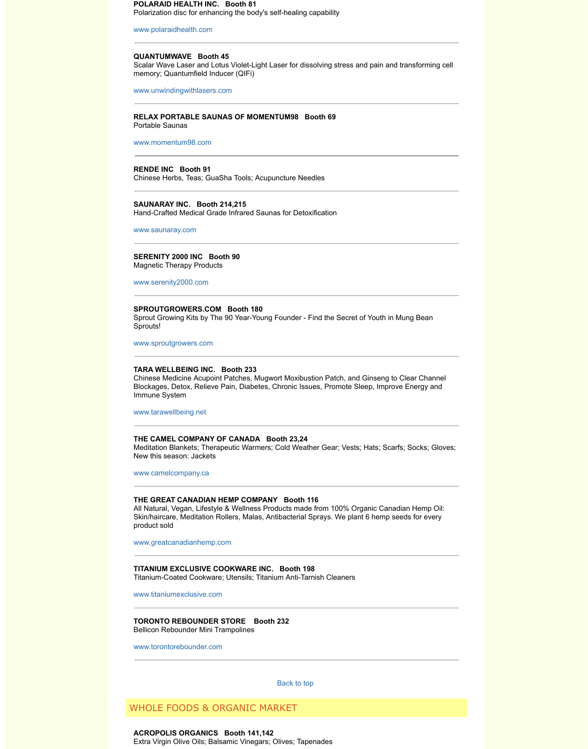Magnetic Therapy Products

www.serenity2000.com

#### **SPROUTGROWERS.COM Booth 180**

Sprout Growing Kits by The 90 Year-Young Founder - Find the Secret of Y Sprouts!

www.sproutgrowers.com

## **TARA WELLBEING INC. Booth 233**

Chinese Medicine Acupoint Patches, Mugwort Moxibustion Patch, and Gir Blockages, Detox, Relieve Pain, Diabetes, Chronic Issues, Promote Sleep Immune System

[www.tarawellbeing.net](http://www.momentum98.com/)

## **THE CAMEL COMPANY OF CANADA Booth 23,24**

Meditation Blankets; Therapeutic Warmers; Cold Weather Gear; Vests; Hats; Gloves; Gloves; Scarrs; Socks; Gloves; Gloves; Gloves; Gloves; Gloves; Gloves; Gloves; Gloves; Gloves; Gloves; Gloves; Gloves; Gloves; Gloves; Glove New this season: Jackets

www.camelcompany.ca

## **[THE GREAT CANA](http://www.saunaray.com/)DIAN HEMP COMPANY Booth 116**

All Natural, Vegan, Lifestyle & Wellness Products made from 100% Organ Skin/haircare, Meditation Rollers, Malas, Antibacterial Sprays. We plant 6 product sold

[www.greatcanadianhem](http://www.serenity2000.com/)p.com

**TITANIUM EXCLUSIVE COOKWARE INC. Booth 198**

Titanium-Coated Cookware; Utensils; Titanium Anti-Tarnish Cleaners

www.titaniumexclusive.com

#### **TORONTO REBOUNDER STORE Booth 232** Bellicon Rebounder Mini Trampolines

www.torontorebounder.com

Back to top

WHOLE FOODS & ORGANIC MARKET

**ACROPOLIS ORGANICS Booth 141,142** [Extra Virgin Olive Oils; B](http://www.camelcompany.ca/)alsamic Vinegars; Olives; Tapenades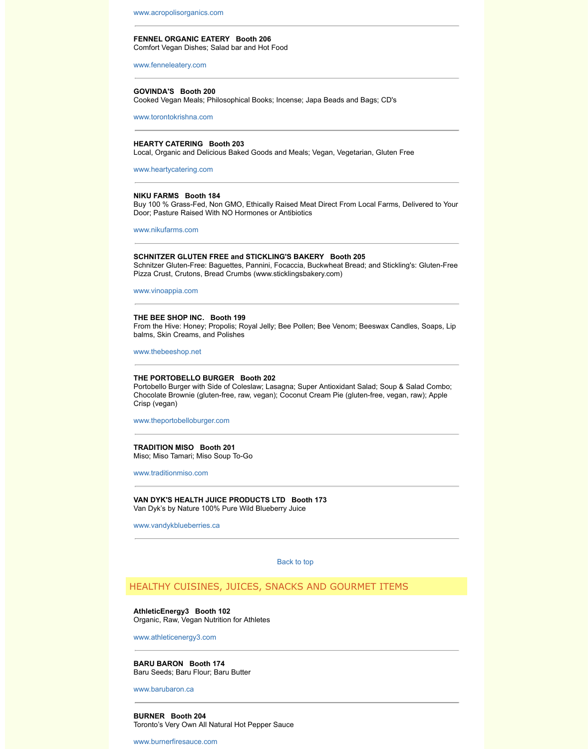Schnitzer Gluten-Free: Baguettes, Pannini, Focaccia, Buckwheat Bread; and Stickling's: Gluten-Free [Pizza Crust, Crutons, Bread](http://www.acropolisorganics.com/) Crumbs (www.sticklingsbakery.com)

www.vinoappia.com

#### **THE BEE SHOP INC. Booth 199**

From the Hive: Honey; Propolis; Royal Jelly; Bee Pollen; Bee Venom; Bee [balms, Skin Creams, a](http://www.fenneleatery.com/)nd Polishes

www.thebeeshop.net

## **THE PORTOBELLO BURGER Booth 202**

[Portobello Burger with Si](http://www.torontokrishna.com/)de of Coleslaw; Lasagna; Super Antioxidant Sala Chocolate Brownie (gluten-free, raw, vegan); Coconut Cream Pie (gluten-f Crisp (vegan)

www.theportobelloburger.com

**TRADITION MISO Booth 201** Miso; Miso Tamari; Miso Soup To-Go

www.traditionmiso.com

**[VAN DYK'S HEALTH](http://www.nikufarms.com/) JUICE PRODUCTS LTD Booth 173** Van Dyk's by Nature 100% Pure Wild Blueberry Juice

www.vandykblueberries.ca

Back to top

## HEALTHY CUISINES, JUICES, SNACKS AND GOURMET

**AthleticEnergy3 Booth 102** [Organic, Raw, Vegan](http://www.thebeeshop.net/) Nutrition for Athletes

www.athleticenergy3.com

**BARU BARON Booth 174** Baru Seeds; Baru Flour; Baru Butter

[www.barubaron.ca](http://www.theportobelloburger.com/)

**BURNER Booth 204** Toronto's Very Own All Natural Hot Pepper Sauce

<span id="page-3-0"></span>[www.burnerfiresauce.co](http://www.traditionmiso.com/)m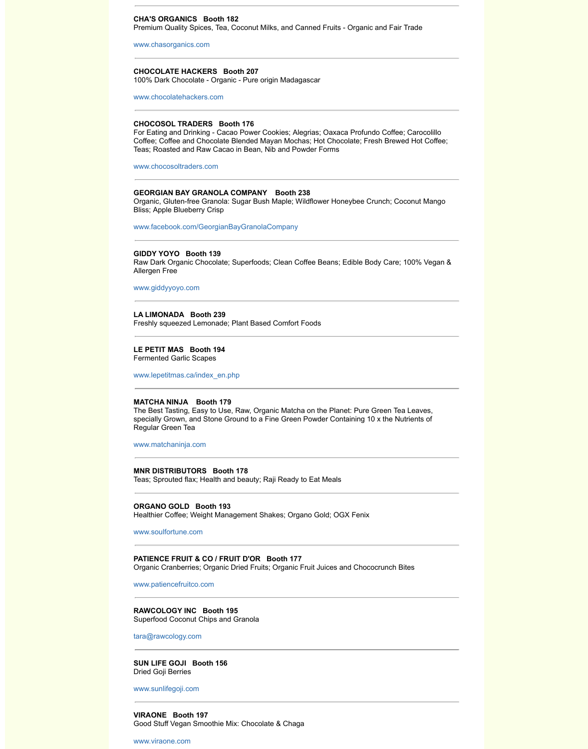Allergen Free

www.giddyyoyo.com

## **[LA LIMONADA Booth](http://www.chasorganics.com/) 239**

Freshly squeezed Lemonade; Plant Based Comfort Foods

# **LE PETIT MAS Booth 194**

[Fermented Garlic Scapes](http://www.chocolatehackers.com/)

www.lepetitmas.ca/index\_en.php

## **MATCHA NINJA Booth 179**

The Best Tasting, Easy to Use, Raw, Organic Matcha on the Planet: Pure specially Grown, and Stone Ground to a Fine Green Powder Containing 1 [Regular Green Tea](http://www.chocosoltraders.com/) 

www.matchaninja.com

#### **MNR DISTRIBUTORS Booth 178**

Teas; Sprouted flax; Health and beauty; Raji Ready to Eat Meals

## **ORGANO GOLD Booth 193**

Healthier Coffee; Weight Management Shakes; Organo Gold; OGX Fenix

www.soulfortune.com

### **[PATIENCE FRUIT &](http://www.giddyyoyo.com/) CO / FRUIT D'OR Booth 177**

Organic Cranberries; Organic Dried Fruits; Organic Fruit Juices and Choco

www.patiencefruitco.com

**RAWCOLOGY INC Booth 195** Superfood Coconut Chips and Granola

[tara@rawcology.com](http://www.lepetitmas.ca/index_en.php)

**SUN LIFE GOJI Booth 156**  Dried Goji Berries

www.sunlifegoji.com

**[VIRAONE Booth 197](http://www.matchaninja.com/)** Good Stuff Vegan Smoothie Mix: Chocolate & Chaga

www.viraone.com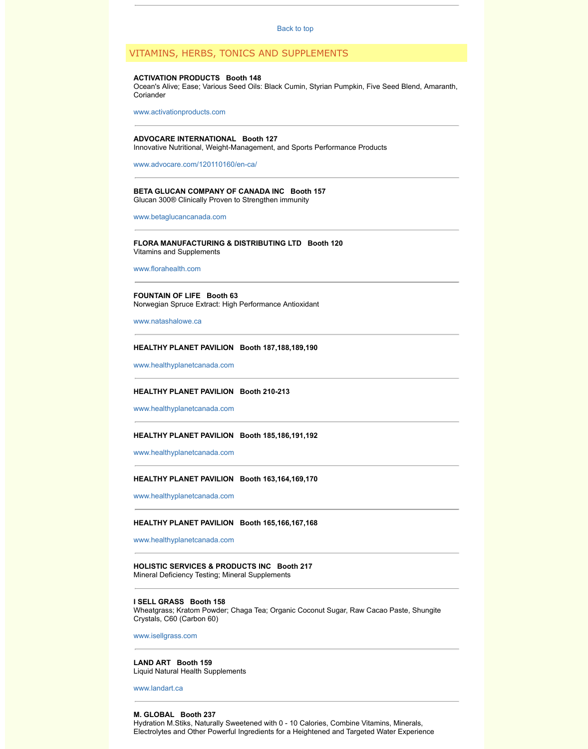www.florahealth.com

**FOUNTAIN OF LIFE Booth 63** Norwegian Spruce Extract: High Performance Antioxidant

<span id="page-5-0"></span>www.natashalowe.ca

## **HEALTHY PLANET PAVILION Booth 187,188,189,190**

www.healthyplanetcanada.com

## **HEALTHY PLANET PAVILION Booth 210-213**

www.healthyplanetcanada.com

#### **[HEALTHY PLANET PAVILION Booth](http://www.advocare.com/120110160/en-ca/) 185,186,191,192**

www.healthyplanetcanada.com

## **[HEALTHY PLANET PAVILIO](http://www.betaglucancanada.com/)N Booth 163,164,169,170**

www.healthyplanetcanada.com

#### **HEALTHY PLANET PAVILION Booth 165,166,167,168**

[www.healthyplanetca](http://www.florahealth.com/)nada.com

**HOLISTIC SERVICES & PRODUCTS INC Booth 217** Mineral Deficiency Testing; Mineral Supplements

## **I SELL GRASS Booth 158**

Wheatgrass; Kratom Powder; Chaga Tea; Organic Coconut Sugar, Raw C Crystals, C60 (Carbon 60)

[www.isellgrass.com](http://www.healthyplanetcanada.com/)

**LAND ART Booth 159** [Liquid Natural Health Suppleme](http://www.healthyplanetcanada.com/)nts

www.landart.ca

### **M. GLOBAL Booth 237**

[Hydration M.Stiks, Naturally Sw](http://www.healthyplanetcanada.com/)eetened with 0 - 10 Calories, Combine Vita Electrolytes and Other Powerful Ingredients for a Heightened and Targete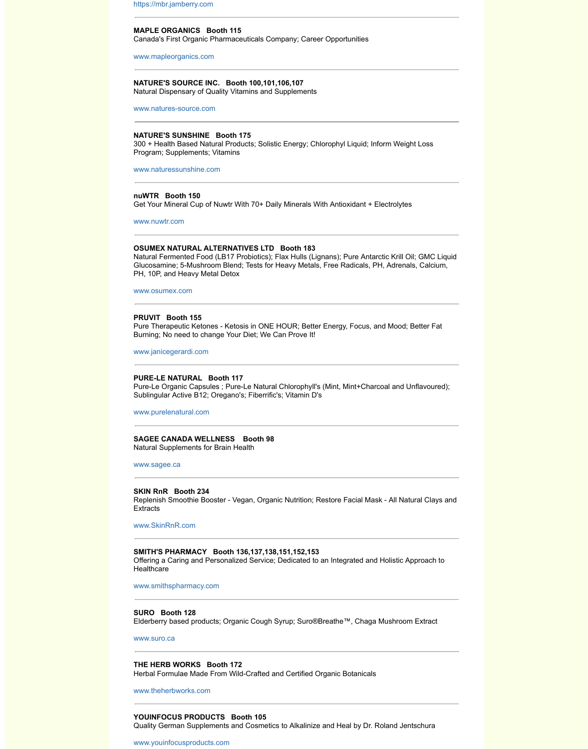Glucosamine; 5-Mushroom Blend; Tests for Heavy Metals, Free Radicals, PH, Adrenals, Calcium, [PH, 10P, and Heavy Meta](http://https//mbr.jamberry.com)l Detox

www.osumex.com

#### **PRUVIT Booth 155**

[Pure Therapeutic Ketone](http://www.mapleorganics.com/)s - Ketosis in ONE HOUR; Better Energy, Focus, Burning; No need to change Your Diet; We Can Prove It!

www.janicegerardi.com

### **[PURE-LE NATURAL Bo](http://www.natures-source.com/)oth 117**

Pure-Le Organic Capsules ; Pure-Le Natural Chlorophyll's (Mint, Mint+Chares) Sublingular Active B12; Oregano's; Fiberrific's; Vitamin D's

www.purelenatural.com

**[SAGEE CANADA WELLNE](http://www.naturessunshine.com/)SS Booth 98** Natural Supplements for Brain Health

www.sagee.ca

#### **[SKIN RnR Boo](http://www.nuwtr.com/)th 234**

Replenish Smoothie Booster - Vegan, Organic Nutrition; Restore Facial M **Extracts** 

#### www.SkinRnR.com

### **SMITH'S PHARMACY Booth 136,137,138,151,152,153**

[Offering a Caring a](http://www.osumex.com/)nd Personalized Service; Dedicated to an Integrated ar **Healthcare** 

www.smithspharmacy.com

#### **SURO Booth 128**

[Elderberry based produ](http://www.janicegerardi.com/)cts; Organic Cough Syrup; Suro®Breathe™, Chag

#### www.suro.ca

**THE HERB WORKS Booth 172** [Herbal Formulae Made](http://www.purelenatural.com/) From Wild-Crafted and Certified Organic Botanicals

www.theherbworks.com

### **YOUINFOCUS PRODUCTS Booth 105**

[Quality Germa](http://www.sagee.ca/)n Supplements and Cosmetics to Alkalinize and Heal by Dr.

www.youinfocusproducts.com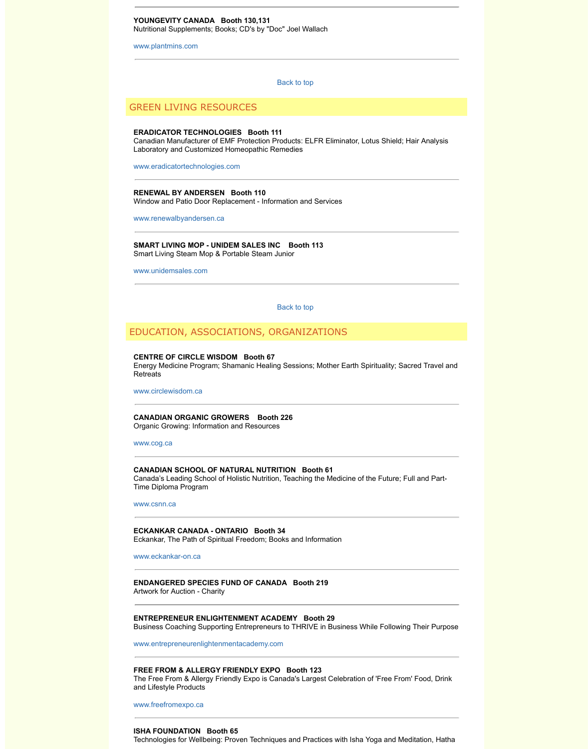www.unidemsales.com

Back to top

## EDUCATION, ASSOCIATIONS, ORGANIZATIONS

#### **CENTRE OF CIRCLE WISDOM Booth 67**

Energy Medicine Program; Shamanic Healing Sessions; Mother Earth Spi Retreats

www.circlewisdom.ca

**CANADIAN ORGANIC GROWERS Booth 226** [Organic Growing: Information and](http://www.eradicatortechnologies.com/) Resources

www.cog.ca

#### **CANADIAN SCHOOL OF NATURAL NUTRITION Booth 61**

Canada's Leading School of Holistic Nutrition, Teaching the Medicine of the [Time Diploma Program](http://www.renewalbyandersen.ca/) 

www.csnn.ca

#### **ECKANKAR CANADA - ONTARIO Booth 34**

[Eckankar, The Path of S](http://www.unidemsales.com/)piritual Freedom; Books and Information

www.eckankar-on.ca

<span id="page-7-0"></span>**ENDANGERED SPECIES FUND OF CANADA Booth 219** Artwork for Auction - Charity

**ENTREPRENEUR ENLIGHTENMENT ACADEMY Booth 29** Business Coaching Supporting Entrepreneurs to THRIVE in Business While

www.entrepreneurenlightenmentacademy.com

### **FREE FROM & ALLERGY FRIENDLY EXPO Booth 123**

The Free From & Allergy Friendly Expo is Canada's Largest Celebration o and Lifestyle Products

[www.freefrom](http://www.cog.ca/)expo.ca

#### **ISHA FOUNDATION Booth 65**

Technologies for Wellbeing: Proven Techniques and Practices with Isha Yo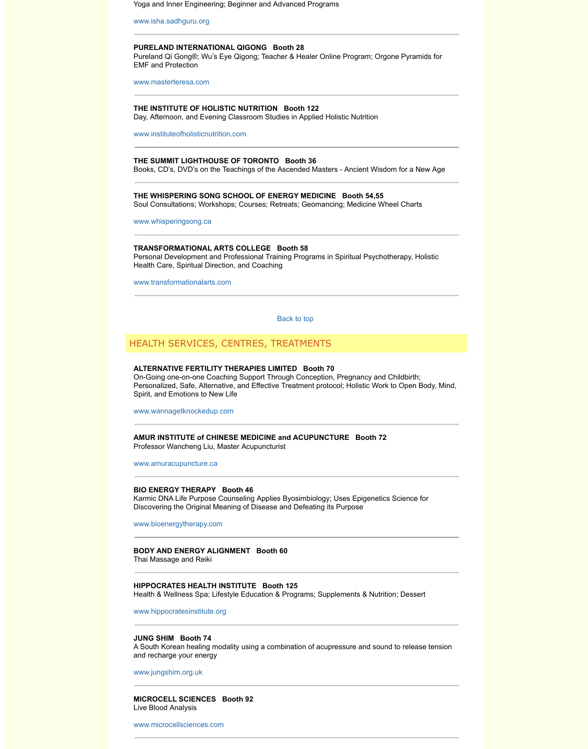Health Care, Spiritual Direction, and Coaching

[www.transformationalar](http://www.isha.sadhguru.org/)ts.com

Back to top

## [HEALTH SERVICES](http://www.masterteresa.com/), CENTRES, TREATMENTS

#### **ALTERNATIVE FERTILITY THERAPIES LIMITED Booth 70**

On-Going one-on-one Coaching Support Through Conception, Pregnancy Personalized, Safe, Alternative, and Effective Treatment protocol; Holistic [Spirit, and Emotions to New Life](http://www.instituteofholisticnutrition.com/)

www.wannagetknockedup.com

**AMUR INSTITUTE of CHINESE MEDICINE and ACUPUNCTURE Booth 72** Professor Wancheng Liu, Master Acupuncturist

www.amuracupuncture.ca

## **[BIO ENERGY THERAPY](http://www.whisperingsong.ca/) Booth 46**

Karmic DNA Life Purpose Counseling Applies Byosimbiology; Uses Epige Discovering the Original Meaning of Disease and Defeating its Purpose

www.bioenergytherapy.com

# **[BODY AND ENERGY ALIGNM](http://www.transformationalarts.com/)ENT Booth 60**

Thai Massage and Reiki

## **HIPPOCRATES HEALTH INSTITUTE Boo[th 125](#page-0-2)**

Health & Wellness Spa; Lifestyle Education & Programs; Supplements & N

www.hippocratesinstitute.org

## **JUNG SHIM Booth 74**

A South Korean healing modality using a combination of acupressure and and recharge your energy

[www.jungshim.org.uk](http://www.wannagetknockedup.com/)

**MICROCELL SCIENCES Booth 92** Live Blood Analysis

[www.microcellsciences.co](http://www.amuracupuncture.ca/)m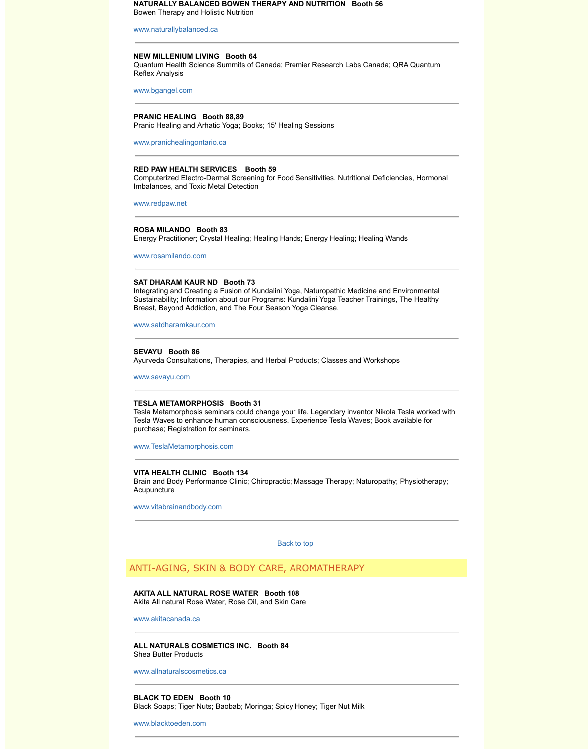## **SAT DHARAM KAUR ND Booth 73**

Integrating and Creating a Fusion of Kundalini Yoga, Naturopathic Medicir [Sustainability; Information](http://www.naturallybalanced.ca/) about our Programs: Kundalini Yoga Teacher Tr Breast, Beyond Addiction, and The Four Season Yoga Cleanse.

www.satdharamkaur.com

## **SEVAYU Booth 86**

[Ayurveda Consulta](http://www.bgangel.com/)tions, Therapies, and Herbal Products; Classes and Wo

www.sevayu.com

#### **TESLA METAMORPHOSIS Booth 31**

[Tesla Metamorphosis semina](http://www.pranichealingontario.ca/)rs could change your life. Legendary invento Tesla Waves to enhance human consciousness. Experience Tesla Waves: purchase; Registration for seminars.

www.TeslaMetamorphosis.com

## **[VITA HEALTH C](http://www.redpaw.net/)LINIC Booth 134**

Brain and Body Performance Clinic; Chiropractic; Massage Therapy; Natu **Acupuncture** 

www.vitabrainandbody.com

Back to top

## ANTI-AGING, SKIN & BODY CARE, AROMATHERAPY

**[AKITA ALL NATURAL R](http://www.satdharamkaur.com/)OSE WATER Booth 108** Akita All natural Rose Water, Rose Oil, and Skin Care

www.akitacanada.ca

**[ALL NATURALS](http://www.sevayu.com/) COSMETICS INC. Booth 84** Shea Butter Products

www.allnaturalscosmetics.ca

**BLACK TO EDEN Booth 10** [Black Soaps; Tiger Nuts; Baoba](http://www.teslametamorphosis.com/)b; Moringa; Spicy Honey; Tiger Nut Milk

www.blacktoeden.com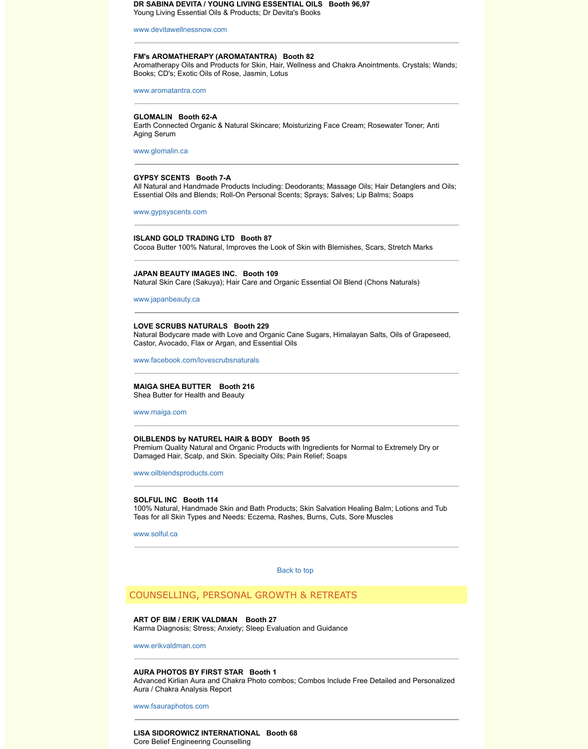## **JAPAN BEAUTY IMAGES INC. Booth 109**

Natural Skin Care (Sakuya); Hair Care and Organic Essential Oil Blend (C

[www.japanbeauty.ca](http://www.devitawellnessnow.com/)

## **LOVE SCRUBS NATURALS Booth 229**

Natural Bodycare made with Love and Organic Cane Sugars, Himalayan S Castor, Avocado, Flax or Argan, and Essential Oils

[www.facebook.com/lov](http://www.aromatantra.com/)escrubsnaturals

## **MAIGA SHEA BUTTER Booth 216**

Shea Butter for Health and Beauty

[www.maiga.com](http://www.glomalin.ca/)

#### **OILBLENDS by NATUREL HAIR & BODY Booth 95**

Premium Quality Natural and Organic Products with Ingredients for Norma Damaged Hair, Scalp, and Skin. Specialty Oils; Pain Relief; Soaps

[www.oilblendsproducts](http://www.gypsyscents.com/).com

## **SOLFUL INC Booth 114**

100% Natural, Handmade Skin and Bath Products; Skin Salvation Healing Teas for all Skin Types and Needs: Eczema, Rashes, Burns, Cuts, Sore M

www.solful.ca

Back to top

## COUNSELLING, PERSONAL GROWTH & RETREATS

**ART OF BIM / ERIK VALDMAN Booth 27** [Karma Diagnosis; Stress; Anxiety; Slee](http://www.facebook.com/lovescrubsnaturals)p Evaluation and Guidance

www.erikvaldman.com

#### **AURA PHOTOS BY FIRST STAR Booth 1**

[Advanced Kirlian](http://www.maiga.com/) Aura and Chakra Photo combos; Combos Include Free I Aura / Chakra Analysis Report

www.fsauraphotos.com

## **LISA SIDOROWICZ INTERNATIONAL Booth 68** [Core Belief Engineering Cou](http://www.oilblendsproducts.com/)nselling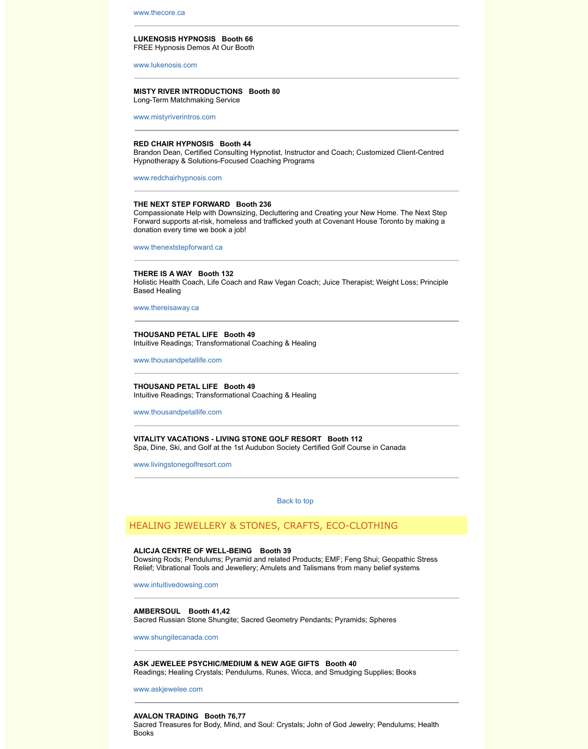## **THERE IS A WAY Booth 132**

[Holistic Health C](http://www.thecore.ca/)oach, Life Coach and Raw Vegan Coach; Juice Therapist Based Healing

www.thereisaway.ca

**[THOUSAND PETAL](http://www.lukenosis.com/) LIFE Booth 49** Intuitive Readings; Transformational Coaching & Healing

www.thousandpetallife.com

**[THOUSAND PETAL LIFE](http://www.mistyriverintros.com/) Booth 49** Intuitive Readings; Transformational Coaching & Healing

www.thousandpetallife.com

**VITALITY VACATIONS - LIVING STONE GOLF RESORT Booth 112** [Spa, Dine, Ski, and Golf at t](http://www.redchairhypnosis.com/)he 1st Audubon Society Certified Golf Course

www.livingstonegolfresort.com

Back to top

# HEALING JEWELLERY & STONES, CRAFTS, ECO-CLOT

## **ALICJA CENTRE OF WELL-BEING Booth 39**

Dowsing Rods; Pendulums; Pyramid and related Products; EMF; Feng Sh [Relief; Vibrational To](http://www.thereisaway.ca/)ols and Jewellery; Amulets and Talismans from many

www.intuitivedowsing.com

**AMBERSOUL Booth 41,42**

[Sacred Russian Stone Shun](http://www.thousandpetallife.com/)gite; Sacred Geometry Pendants; Pyramids; S

www.shungitecanada.com

**ASK JEWELEE PSYCHIC/MEDIUM & NEW AGE GIFTS Booth 40**  [Readings; Healing Crystals;](http://www.thousandpetallife.com/) Pendulums, Runes, Wicca, and Smudging Supplies; Books, Books, Books, Books, and S

www.askjewelee.com

#### **AVALON TRADING Booth 76,77**

Sacred Treasures for Body, Mind, and Soul: Crystals; John of God Jewelry [Books](http://www.livingstonegolfresort.com/)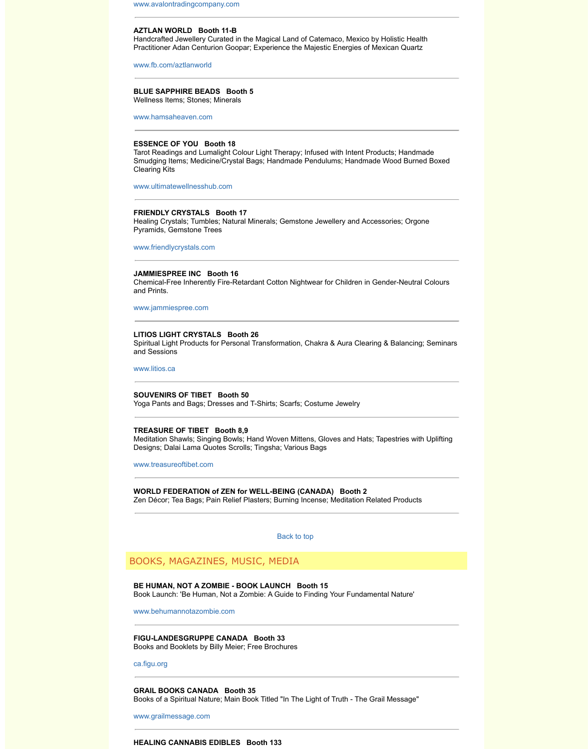## **[JAMMIESPREE INC Booth 16](http://www.avalontradingcompany.com/)**

Chemical-Free Inherently Fire-Retardant Cotton Nightwear for Children in and Prints.

www.jammiespree.com

## **[LITIOS LIGHT CRYSTA](http://www.fb.com/aztlanworld)LS Booth 26**

Spiritual Light Products for Personal Transformation, Chakra & Aura Clear and Sessions

www.litios.ca

## **SOUVENIRS OF TIBET Booth 50**

Yoga Pants and Bags; Dresses and T-Shirts; Scarfs; Costume Jewelry

### **TREASURE OF TIBET Booth 8,9**

Meditation Shawls; Singing Bowls; Hand Woven Mittens, Gloves and Hats [Designs; Dalai Lama Quotes S](http://www.ultimatewellnesshub.com/)crolls; Tingsha; Various Bags

www.treasureoftibet.com

**WORLD FEDERATION of ZEN for WELL-BEING (CANADA) Booth 2** Zen Décor; Tea Bags; Pain Relief Plasters; Burning Incense; Meditation R

Back to top

BOOKS, MAGAZINES, MUSIC, MEDIA

**BE HUMAN, NOT A ZOMBIE - BOOK LAUNCH Booth 15**

Book Launch: 'Be Human, Not a Zombie: A Guide to Finding Your Fundam

www.behumannotazombie.com

**[FIGU-LANDE](http://www.litios.ca/)SGRUPPE CANADA Booth 33** Books and Booklets by Billy Meier; Free Brochures

ca.figu.org

**GRAIL BOOKS CANADA Booth 35** Books of a Spiritual Nature; Main Book Titled "In The Light of Truth - The G

www.grailmessage.com

## <span id="page-12-0"></span>**HEALING CANNABIS EDIBLES Booth 133**